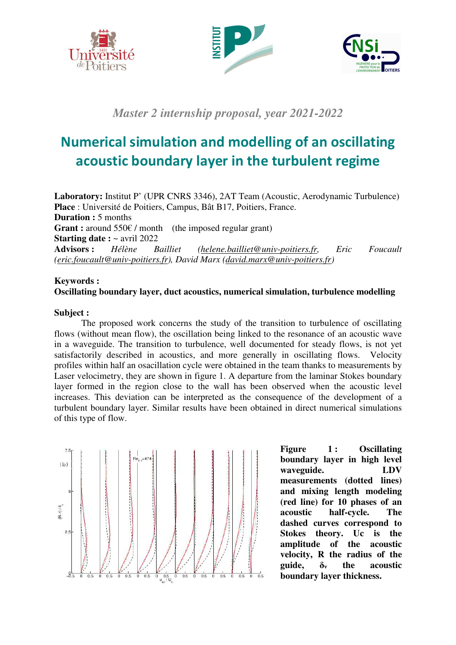





*Master 2 internship proposal, year 2021-2022*

## **Numerical simulation and modelling of an oscillating acoustic boundary layer in the turbulent regime**

**Laboratory:** Institut P' (UPR CNRS 3346), 2AT Team (Acoustic, Aerodynamic Turbulence) **Place** : Université de Poitiers, Campus, Bât B17, Poitiers, France. **Duration :** 5 months **Grant :** around 550€ / month (the imposed regular grant) **Starting date :** ~ avril 2022 **Advisors :** *Hélène Bailliet (helene.bailliet@univ-poitiers.fr, Eric Foucault (eric.foucault@univ-poitiers.fr), David Marx (david.marx@univ-poitiers.fr)*

## **Keywords : Oscillating boundary layer, duct acoustics, numerical simulation, turbulence modelling**

## **Subject :**

The proposed work concerns the study of the transition to turbulence of oscillating flows (without mean flow), the oscillation being linked to the resonance of an acoustic wave in a waveguide. The transition to turbulence, well documented for steady flows, is not yet satisfactorily described in acoustics, and more generally in oscillating flows. Velocity profiles within half an osacillation cycle were obtained in the team thanks to measurements by Laser velocimetry, they are shown in figure 1. A departure from the laminar Stokes boundary layer formed in the region close to the wall has been observed when the acoustic level increases. This deviation can be interpreted as the consequence of the development of a turbulent boundary layer. Similar results have been obtained in direct numerical simulations of this type of flow.



**Figure 1 : Oscillating boundary layer in high level waveguide. LDV measurements (dotted lines) and mixing length modeling (red line) for 10 phases of an acoustic half-cycle. The dashed curves correspond to Stokes theory. Uc is the amplitude of the acoustic velocity, R the radius of the guide, δν the acoustic boundary layer thickness.**